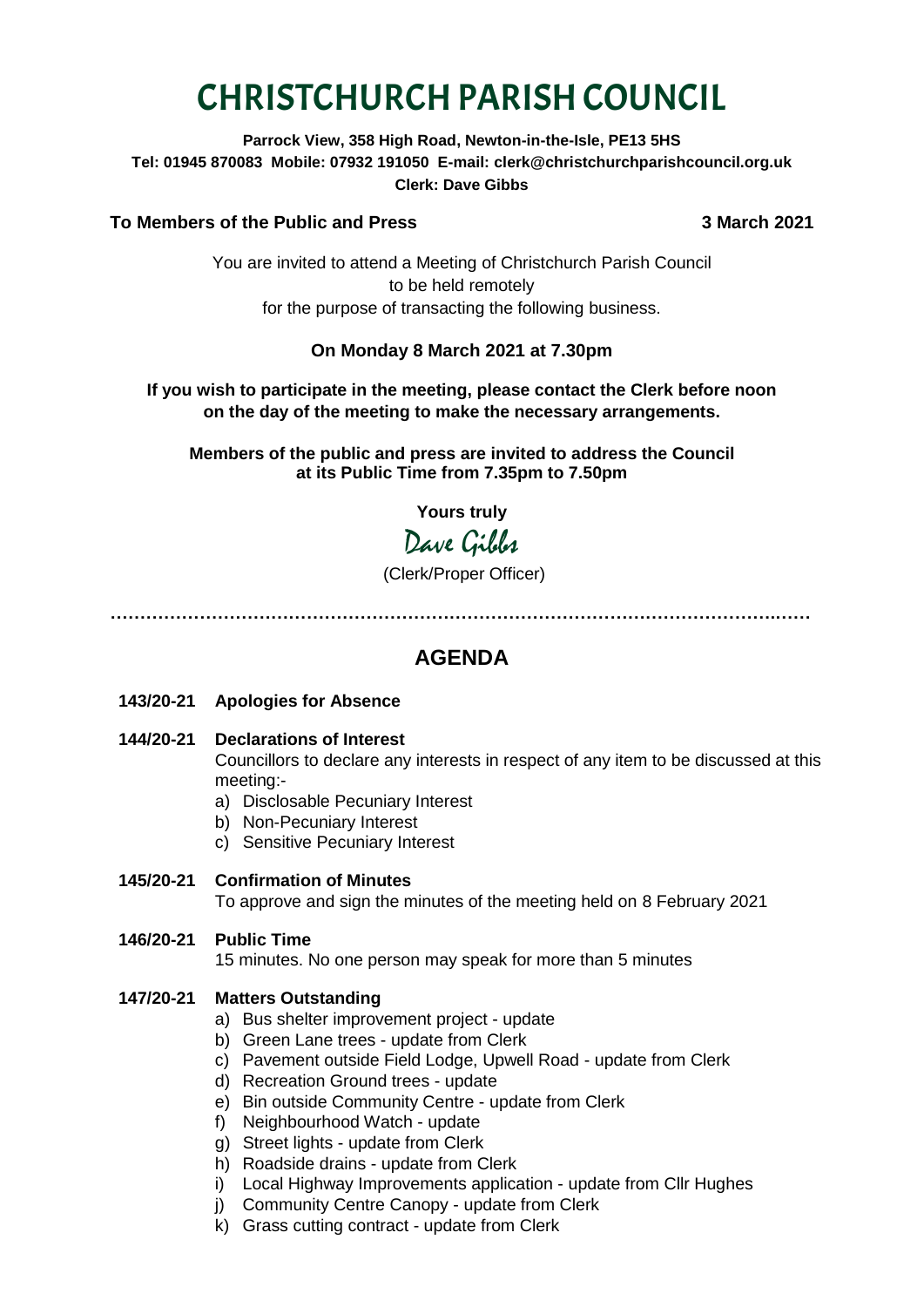# CHRISTCHURCH PARISH COUNCIL

**Parrock View, 358 High Road, Newton-in-the-Isle, PE13 5HS Tel: 01945 870083 Mobile: 07932 191050 E-mail: clerk@christchurchparishcouncil.org.uk Clerk: Dave Gibbs**

#### **To Members of the Public and Press 3 March 2021**

You are invited to attend a Meeting of Christchurch Parish Council to be held remotely for the purpose of transacting the following business.

### **On Monday 8 March 2021 at 7.30pm**

#### **If you wish to participate in the meeting, please contact the Clerk before noon on the day of the meeting to make the necessary arrangements.**

**Members of the public and press are invited to address the Council at its Public Time from 7.35pm to 7.50pm**

**Yours truly**

# Dave Gibbs

(Clerk/Proper Officer)

**………………………………………………………………………………………………….……**

## **AGENDA**

- **143/20-21 Apologies for Absence**
- **144/20-21 Declarations of Interest** Councillors to declare any interests in respect of any item to be discussed at this meeting:
	- a) Disclosable Pecuniary Interest
	- b) Non-Pecuniary Interest
	- c) Sensitive Pecuniary Interest

#### **145/20-21 Confirmation of Minutes**

To approve and sign the minutes of the meeting held on 8 February 2021

**146/20-21 Public Time**

15 minutes. No one person may speak for more than 5 minutes

#### **147/20-21 Matters Outstanding**

- a) Bus shelter improvement project update
- b) Green Lane trees update from Clerk
- c) Pavement outside Field Lodge, Upwell Road update from Clerk
- d) Recreation Ground trees update
- e) Bin outside Community Centre update from Clerk
- f) Neighbourhood Watch update
- g) Street lights update from Clerk
- h) Roadside drains update from Clerk
- i) Local Highway Improvements application update from Cllr Hughes
- j) Community Centre Canopy update from Clerk
- k) Grass cutting contract update from Clerk